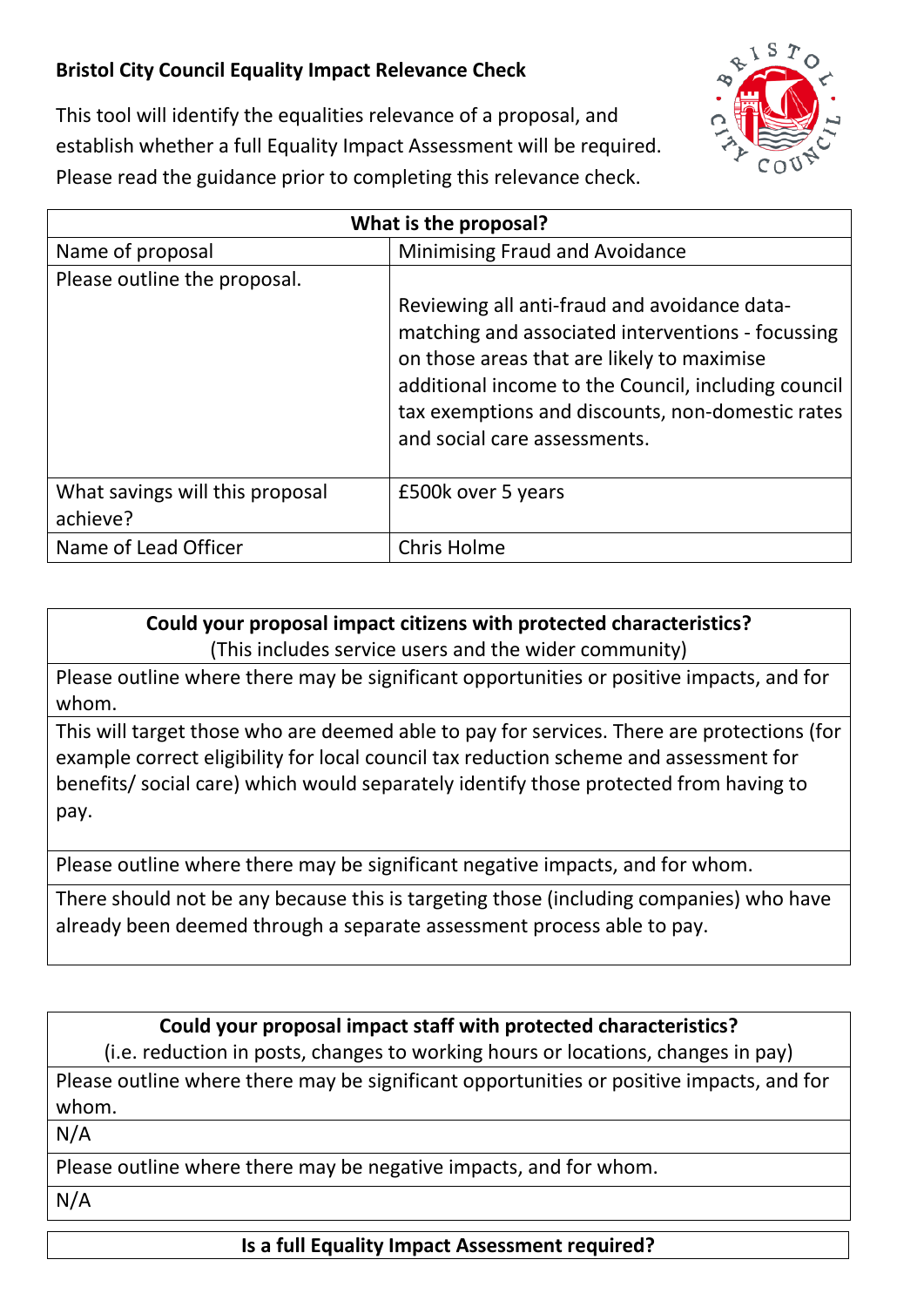## **Bristol City Council Equality Impact Relevance Check**



This tool will identify the equalities relevance of a proposal, and establish whether a full Equality Impact Assessment will be required. Please read the guidance prior to completing this relevance check.

| What is the proposal?                       |                                                                                                                                                                                                            |
|---------------------------------------------|------------------------------------------------------------------------------------------------------------------------------------------------------------------------------------------------------------|
| Name of proposal                            | <b>Minimising Fraud and Avoidance</b>                                                                                                                                                                      |
| Please outline the proposal.                |                                                                                                                                                                                                            |
|                                             | Reviewing all anti-fraud and avoidance data-                                                                                                                                                               |
|                                             | matching and associated interventions - focussing<br>on those areas that are likely to maximise<br>additional income to the Council, including council<br>tax exemptions and discounts, non-domestic rates |
|                                             | and social care assessments.                                                                                                                                                                               |
| What savings will this proposal<br>achieve? | £500k over 5 years                                                                                                                                                                                         |
| Name of Lead Officer                        | Chris Holme                                                                                                                                                                                                |

## **Could your proposal impact citizens with protected characteristics?** (This includes service users and the wider community)

Please outline where there may be significant opportunities or positive impacts, and for whom.

This will target those who are deemed able to pay for services. There are protections (for example correct eligibility for local council tax reduction scheme and assessment for benefits/ social care) which would separately identify those protected from having to pay.

Please outline where there may be significant negative impacts, and for whom.

There should not be any because this is targeting those (including companies) who have already been deemed through a separate assessment process able to pay.

## **Could your proposal impact staff with protected characteristics?**

(i.e. reduction in posts, changes to working hours or locations, changes in pay) Please outline where there may be significant opportunities or positive impacts, and for whom.

N/A

Please outline where there may be negative impacts, and for whom.

N/A

**Is a full Equality Impact Assessment required?**